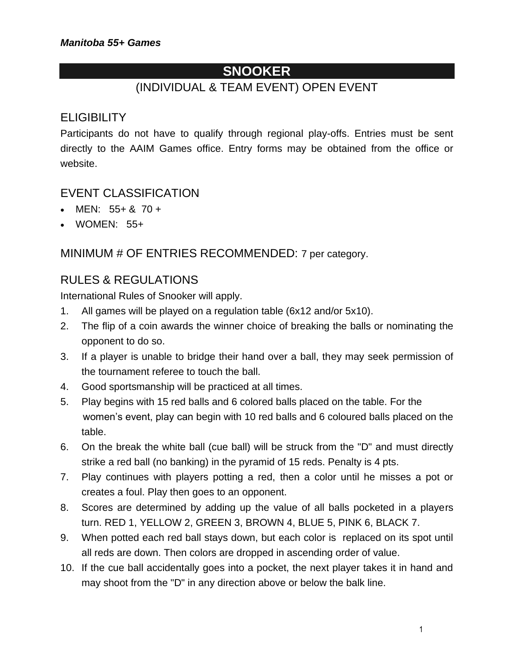# **SNOOKER**

## (INDIVIDUAL & TEAM EVENT) OPEN EVENT

### **ELIGIBILITY**

Participants do not have to qualify through regional play-offs. Entries must be sent directly to the AAIM Games office. Entry forms may be obtained from the office or website.

#### EVENT CLASSIFICATION

- MEN:  $55+ 8$ , 70 +
- WOMEN: 55+

#### MINIMUM # OF ENTRIES RECOMMENDED: 7 per category.

### RULES & REGULATIONS

International Rules of Snooker will apply.

- 1. All games will be played on a regulation table (6x12 and/or 5x10).
- 2. The flip of a coin awards the winner choice of breaking the balls or nominating the opponent to do so.
- 3. If a player is unable to bridge their hand over a ball, they may seek permission of the tournament referee to touch the ball.
- 4. Good sportsmanship will be practiced at all times.
- 5. Play begins with 15 red balls and 6 colored balls placed on the table. For the women's event, play can begin with 10 red balls and 6 coloured balls placed on the table.
- 6. On the break the white ball (cue ball) will be struck from the "D" and must directly strike a red ball (no banking) in the pyramid of 15 reds. Penalty is 4 pts.
- 7. Play continues with players potting a red, then a color until he misses a pot or creates a foul. Play then goes to an opponent.
- 8. Scores are determined by adding up the value of all balls pocketed in a players turn. RED 1, YELLOW 2, GREEN 3, BROWN 4, BLUE 5, PINK 6, BLACK 7.
- 9. When potted each red ball stays down, but each color is replaced on its spot until all reds are down. Then colors are dropped in ascending order of value.
- 10. If the cue ball accidentally goes into a pocket, the next player takes it in hand and may shoot from the "D" in any direction above or below the balk line.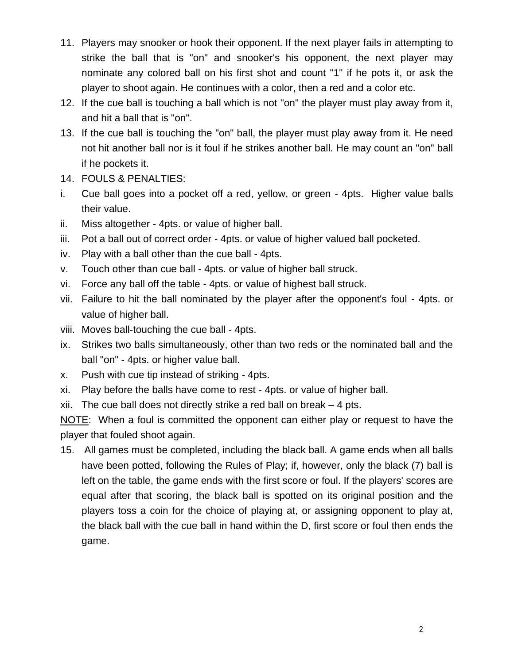- 11. Players may snooker or hook their opponent. If the next player fails in attempting to strike the ball that is "on" and snooker's his opponent, the next player may nominate any colored ball on his first shot and count "1" if he pots it, or ask the player to shoot again. He continues with a color, then a red and a color etc.
- 12. If the cue ball is touching a ball which is not "on" the player must play away from it, and hit a ball that is "on".
- 13. If the cue ball is touching the "on" ball, the player must play away from it. He need not hit another ball nor is it foul if he strikes another ball. He may count an "on" ball if he pockets it.
- 14. FOULS & PENALTIES:
- i. Cue ball goes into a pocket off a red, yellow, or green 4pts. Higher value balls their value.
- ii. Miss altogether 4pts. or value of higher ball.
- iii. Pot a ball out of correct order 4pts. or value of higher valued ball pocketed.
- iv. Play with a ball other than the cue ball 4pts.
- v. Touch other than cue ball 4pts. or value of higher ball struck.
- vi. Force any ball off the table 4pts. or value of highest ball struck.
- vii. Failure to hit the ball nominated by the player after the opponent's foul 4pts. or value of higher ball.
- viii. Moves ball-touching the cue ball 4pts.
- ix. Strikes two balls simultaneously, other than two reds or the nominated ball and the ball "on" - 4pts. or higher value ball.
- x. Push with cue tip instead of striking 4pts.
- xi. Play before the balls have come to rest 4pts. or value of higher ball.

xii. The cue ball does not directly strike a red ball on break – 4 pts.

NOTE: When a foul is committed the opponent can either play or request to have the player that fouled shoot again.

15. All games must be completed, including the black ball. A game ends when all balls have been potted, following the Rules of Play; if, however, only the black (7) ball is left on the table, the game ends with the first score or foul. If the players' scores are equal after that scoring, the black ball is spotted on its original position and the players toss a coin for the choice of playing at, or assigning opponent to play at, the black ball with the cue ball in hand within the D, first score or foul then ends the game.